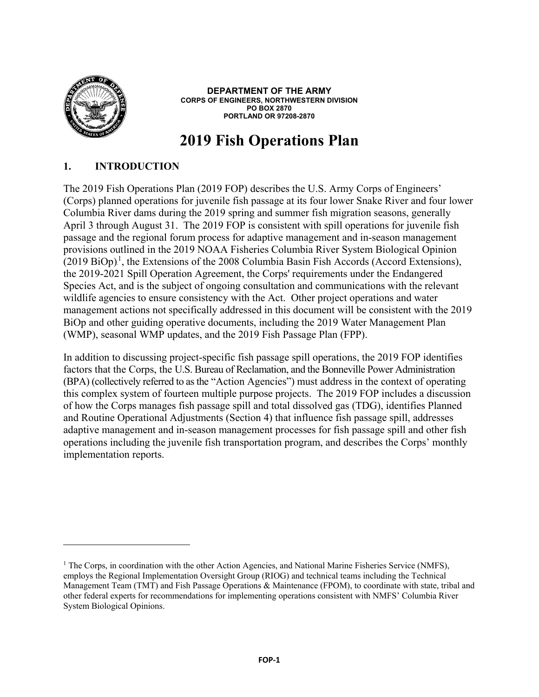

 $\overline{a}$ 

**DEPARTMENT OF THE ARMY CORPS OF ENGINEERS, NORTHWESTERN DIVISION PO BOX 2870 PORTLAND OR 97208-2870**

# **2019 Fish Operations Plan**

## **1. INTRODUCTION**

The 2019 Fish Operations Plan (2019 FOP) describes the U.S. Army Corps of Engineers' (Corps) planned operations for juvenile fish passage at its four lower Snake River and four lower Columbia River dams during the 2019 spring and summer fish migration seasons, generally April 3 through August 31. The 2019 FOP is consistent with spill operations for juvenile fish passage and the regional forum process for adaptive management and in-season management provisions outlined in the 2019 NOAA Fisheries Columbia River System Biological Opinion  $(2019 \text{ BiOp})^1$ , the Extensions of the 2008 Columbia Basin Fish Accords (Accord Extensions), the 2019-2021 Spill Operation Agreement, the Corps' requirements under the Endangered Species Act, and is the subject of ongoing consultation and communications with the relevant wildlife agencies to ensure consistency with the Act. Other project operations and water management actions not specifically addressed in this document will be consistent with the 2019 BiOp and other guiding operative documents, including the 2019 Water Management Plan (WMP), seasonal WMP updates, and the 2019 Fish Passage Plan (FPP).

In addition to discussing project-specific fish passage spill operations, the 2019 FOP identifies factors that the Corps, the U.S. Bureau of Reclamation, and the Bonneville Power Administration (BPA) (collectively referred to as the "Action Agencies") must address in the context of operating this complex system of fourteen multiple purpose projects. The 2019 FOP includes a discussion of how the Corps manages fish passage spill and total dissolved gas (TDG), identifies Planned and Routine Operational Adjustments (Section 4) that influence fish passage spill, addresses adaptive management and in-season management processes for fish passage spill and other fish operations including the juvenile fish transportation program, and describes the Corps' monthly implementation reports.

<sup>&</sup>lt;sup>1</sup> The Corps, in coordination with the other Action Agencies, and National Marine Fisheries Service (NMFS), employs the Regional Implementation Oversight Group (RIOG) and technical teams including the Technical Management Team (TMT) and Fish Passage Operations & Maintenance (FPOM), to coordinate with state, tribal and other federal experts for recommendations for implementing operations consistent with NMFS' Columbia River System Biological Opinions.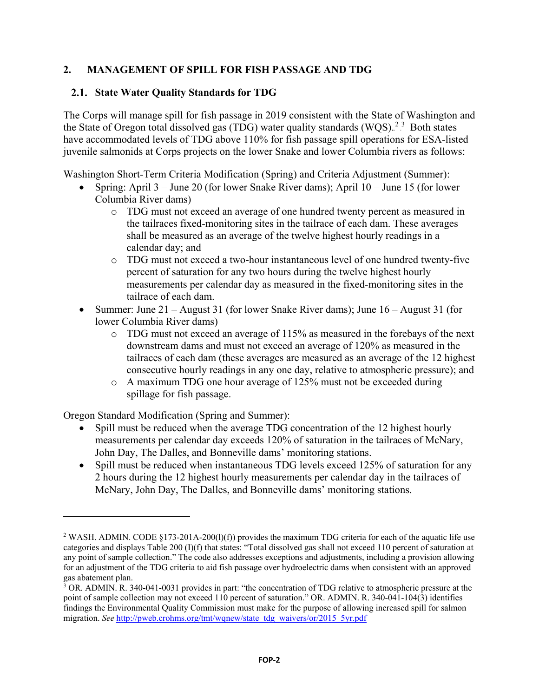# **2. MANAGEMENT OF SPILL FOR FISH PASSAGE AND TDG**

## **State Water Quality Standards for TDG**

The Corps will manage spill for fish passage in 2019 consistent with the State of Washington and the State of Oregon total dissolved gas (TDG) water quality standards (WQS).<sup>2,3</sup> Both states have accommodated levels of TDG above 110% for fish passage spill operations for ESA-listed juvenile salmonids at Corps projects on the lower Snake and lower Columbia rivers as follows:

Washington Short-Term Criteria Modification (Spring) and Criteria Adjustment (Summer):

- Spring: April 3 June 20 (for lower Snake River dams); April 10 June 15 (for lower Columbia River dams)
	- o TDG must not exceed an average of one hundred twenty percent as measured in the tailraces fixed-monitoring sites in the tailrace of each dam. These averages shall be measured as an average of the twelve highest hourly readings in a calendar day; and
	- o TDG must not exceed a two-hour instantaneous level of one hundred twenty-five percent of saturation for any two hours during the twelve highest hourly measurements per calendar day as measured in the fixed-monitoring sites in the tailrace of each dam.
- Summer: June 21 August 31 (for lower Snake River dams); June 16 August 31 (for lower Columbia River dams)
	- o TDG must not exceed an average of 115% as measured in the forebays of the next downstream dams and must not exceed an average of 120% as measured in the tailraces of each dam (these averages are measured as an average of the 12 highest consecutive hourly readings in any one day, relative to atmospheric pressure); and
	- o A maximum TDG one hour average of 125% must not be exceeded during spillage for fish passage.

Oregon Standard Modification (Spring and Summer):

- Spill must be reduced when the average TDG concentration of the 12 highest hourly measurements per calendar day exceeds 120% of saturation in the tailraces of McNary, John Day, The Dalles, and Bonneville dams' monitoring stations.
- Spill must be reduced when instantaneous TDG levels exceed 125% of saturation for any 2 hours during the 12 highest hourly measurements per calendar day in the tailraces of McNary, John Day, The Dalles, and Bonneville dams' monitoring stations.

<sup>&</sup>lt;sup>2</sup> WASH. ADMIN. CODE §173-201A-200(l)(f)) provides the maximum TDG criteria for each of the aquatic life use categories and displays Table 200 (I)(f) that states: "Total dissolved gas shall not exceed 110 percent of saturation at any point of sample collection." The code also addresses exceptions and adjustments, including a provision allowing for an adjustment of the TDG criteria to aid fish passage over hydroelectric dams when consistent with an approved gas abatement plan.

 $3$  OR. ADMIN. R. 340-041-0031 provides in part: "the concentration of TDG relative to atmospheric pressure at the point of sample collection may not exceed 110 percent of saturation." OR. ADMIN. R. 340-041-104(3) identifies findings the Environmental Quality Commission must make for the purpose of allowing increased spill for salmon migration. *See* [http://pweb.crohms.org/tmt/wqnew/state\\_tdg\\_waivers/or/2015\\_5yr.pdf](http://pweb.crohms.org/tmt/wqnew/state_tdg_waivers/or/2015_5yr.pdf)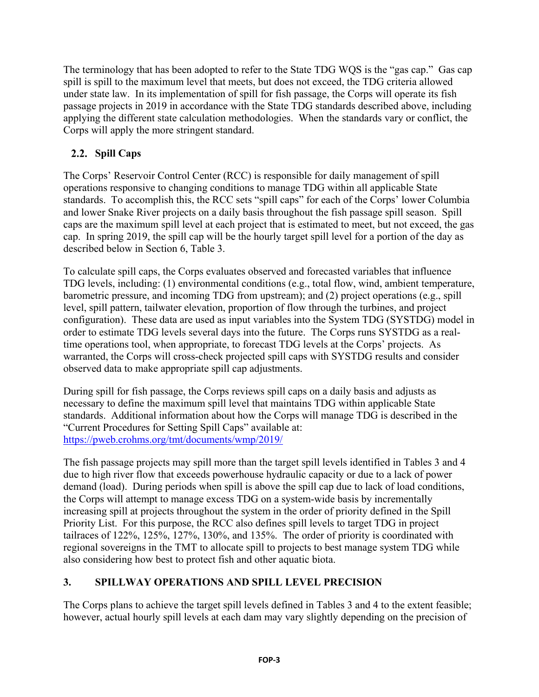The terminology that has been adopted to refer to the State TDG WQS is the "gas cap." Gas cap spill is spill to the maximum level that meets, but does not exceed, the TDG criteria allowed under state law. In its implementation of spill for fish passage, the Corps will operate its fish passage projects in 2019 in accordance with the State TDG standards described above, including applying the different state calculation methodologies. When the standards vary or conflict, the Corps will apply the more stringent standard.

# 2.2. Spill Caps

The Corps' Reservoir Control Center (RCC) is responsible for daily management of spill operations responsive to changing conditions to manage TDG within all applicable State standards. To accomplish this, the RCC sets "spill caps" for each of the Corps' lower Columbia and lower Snake River projects on a daily basis throughout the fish passage spill season. Spill caps are the maximum spill level at each project that is estimated to meet, but not exceed, the gas cap. In spring 2019, the spill cap will be the hourly target spill level for a portion of the day as described below in Section 6, Table 3.

To calculate spill caps, the Corps evaluates observed and forecasted variables that influence TDG levels, including: (1) environmental conditions (e.g., total flow, wind, ambient temperature, barometric pressure, and incoming TDG from upstream); and (2) project operations (e.g., spill level, spill pattern, tailwater elevation, proportion of flow through the turbines, and project configuration). These data are used as input variables into the System TDG (SYSTDG) model in order to estimate TDG levels several days into the future. The Corps runs SYSTDG as a realtime operations tool, when appropriate, to forecast TDG levels at the Corps' projects. As warranted, the Corps will cross-check projected spill caps with SYSTDG results and consider observed data to make appropriate spill cap adjustments.

During spill for fish passage, the Corps reviews spill caps on a daily basis and adjusts as necessary to define the maximum spill level that maintains TDG within applicable State standards. Additional information about how the Corps will manage TDG is described in the "Current Procedures for Setting Spill Caps" available at: <https://pweb.crohms.org/tmt/documents/wmp/2019/>

The fish passage projects may spill more than the target spill levels identified in Tables 3 and 4 due to high river flow that exceeds powerhouse hydraulic capacity or due to a lack of power demand (load). During periods when spill is above the spill cap due to lack of load conditions, the Corps will attempt to manage excess TDG on a system-wide basis by incrementally increasing spill at projects throughout the system in the order of priority defined in the Spill Priority List. For this purpose, the RCC also defines spill levels to target TDG in project tailraces of 122%, 125%, 127%, 130%, and 135%. The order of priority is coordinated with regional sovereigns in the TMT to allocate spill to projects to best manage system TDG while also considering how best to protect fish and other aquatic biota.

# **3. SPILLWAY OPERATIONS AND SPILL LEVEL PRECISION**

The Corps plans to achieve the target spill levels defined in Tables 3 and 4 to the extent feasible; however, actual hourly spill levels at each dam may vary slightly depending on the precision of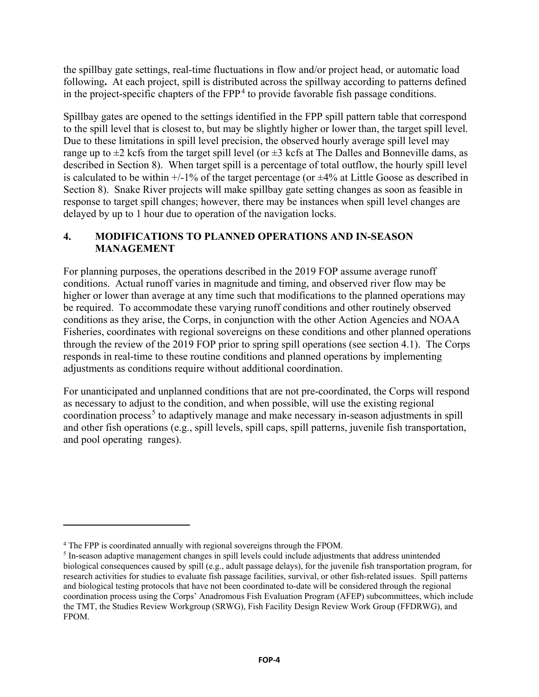the spillbay gate settings, real-time fluctuations in flow and/or project head, or automatic load following**.** At each project, spill is distributed across the spillway according to patterns defined in the project-specific chapters of the FPP.<sup>4</sup> to provide favorable fish passage conditions.

Spillbay gates are opened to the settings identified in the FPP spill pattern table that correspond to the spill level that is closest to, but may be slightly higher or lower than, the target spill level. Due to these limitations in spill level precision, the observed hourly average spill level may range up to  $\pm 2$  kcfs from the target spill level (or  $\pm 3$  kcfs at The Dalles and Bonneville dams, as described in Section 8). When target spill is a percentage of total outflow, the hourly spill level is calculated to be within  $+/-1\%$  of the target percentage (or  $\pm 4\%$  at Little Goose as described in Section 8). Snake River projects will make spillbay gate setting changes as soon as feasible in response to target spill changes; however, there may be instances when spill level changes are delayed by up to 1 hour due to operation of the navigation locks.

## **4. MODIFICATIONS TO PLANNED OPERATIONS AND IN-SEASON MANAGEMENT**

For planning purposes, the operations described in the 2019 FOP assume average runoff conditions. Actual runoff varies in magnitude and timing, and observed river flow may be higher or lower than average at any time such that modifications to the planned operations may be required. To accommodate these varying runoff conditions and other routinely observed conditions as they arise, the Corps, in conjunction with the other Action Agencies and NOAA Fisheries, coordinates with regional sovereigns on these conditions and other planned operations through the review of the 2019 FOP prior to spring spill operations (see section 4.1). The Corps responds in real-time to these routine conditions and planned operations by implementing adjustments as conditions require without additional coordination.

For unanticipated and unplanned conditions that are not pre-coordinated, the Corps will respond as necessary to adjust to the condition, and when possible, will use the existing regional coordination process.<sup>5</sup> to adaptively manage and make necessary in-season adjustments in spill and other fish operations (e.g., spill levels, spill caps, spill patterns, juvenile fish transportation, and pool operating ranges).

<sup>4</sup> The FPP is coordinated annually with regional sovereigns through the FPOM.

<sup>5</sup> In-season adaptive management changes in spill levels could include adjustments that address unintended biological consequences caused by spill (e.g., adult passage delays), for the juvenile fish transportation program, for research activities for studies to evaluate fish passage facilities, survival, or other fish-related issues. Spill patterns and biological testing protocols that have not been coordinated to-date will be considered through the regional coordination process using the Corps' Anadromous Fish Evaluation Program (AFEP) subcommittees, which include the TMT, the Studies Review Workgroup (SRWG), Fish Facility Design Review Work Group (FFDRWG), and FPOM.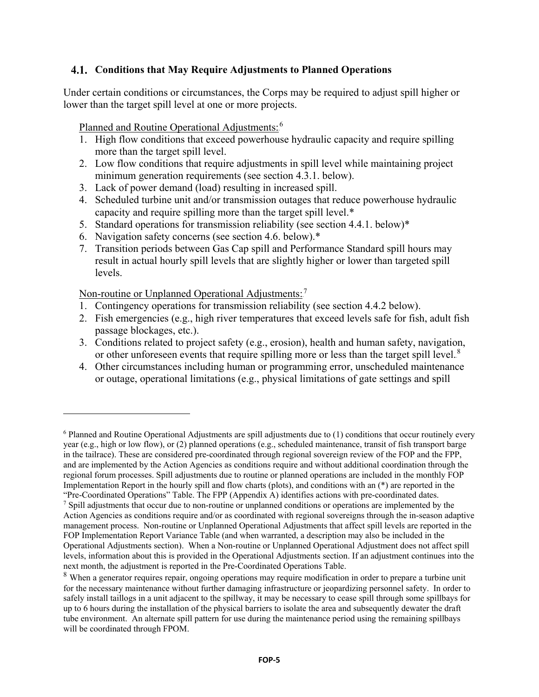## **Conditions that May Require Adjustments to Planned Operations**

Under certain conditions or circumstances, the Corps may be required to adjust spill higher or lower than the target spill level at one or more projects.

Planned and Routine Operational Adjustments:<sup>6</sup>

- 1. High flow conditions that exceed powerhouse hydraulic capacity and require spilling more than the target spill level.
- 2. Low flow conditions that require adjustments in spill level while maintaining project minimum generation requirements (see section 4.3.1. below).
- 3. Lack of power demand (load) resulting in increased spill.
- 4. Scheduled turbine unit and/or transmission outages that reduce powerhouse hydraulic capacity and require spilling more than the target spill level.\*
- 5. Standard operations for transmission reliability (see section 4.4.1. below)\*
- 6. Navigation safety concerns (see section 4.6. below).\*
- 7. Transition periods between Gas Cap spill and Performance Standard spill hours may result in actual hourly spill levels that are slightly higher or lower than targeted spill levels.

Non-routine or Unplanned Operational Adjustments:<sup>7</sup>

- 1. Contingency operations for transmission reliability (see section 4.4.2 below).
- 2. Fish emergencies (e.g., high river temperatures that exceed levels safe for fish, adult fish passage blockages, etc.).
- 3. Conditions related to project safety (e.g., erosion), health and human safety, navigation, or other unforeseen events that require spilling more or less than the target spill level.<sup>8</sup>
- 4. Other circumstances including human or programming error, unscheduled maintenance or outage, operational limitations (e.g., physical limitations of gate settings and spill

<sup>6</sup> Planned and Routine Operational Adjustments are spill adjustments due to (1) conditions that occur routinely every year (e.g., high or low flow), or (2) planned operations (e.g., scheduled maintenance, transit of fish transport barge in the tailrace). These are considered pre-coordinated through regional sovereign review of the FOP and the FPP, and are implemented by the Action Agencies as conditions require and without additional coordination through the regional forum processes. Spill adjustments due to routine or planned operations are included in the monthly FOP Implementation Report in the hourly spill and flow charts (plots), and conditions with an (\*) are reported in the "Pre-Coordinated Operations" Table. The FPP (Appendix A) identifies actions with pre-coordinated dates.

<sup>&</sup>lt;sup>7</sup> Spill adjustments that occur due to non-routine or unplanned conditions or operations are implemented by the Action Agencies as conditions require and/or as coordinated with regional sovereigns through the in-season adaptive management process. Non-routine or Unplanned Operational Adjustments that affect spill levels are reported in the FOP Implementation Report Variance Table (and when warranted, a description may also be included in the Operational Adjustments section). When a Non-routine or Unplanned Operational Adjustment does not affect spill levels, information about this is provided in the Operational Adjustments section. If an adjustment continues into the next month, the adjustment is reported in the Pre-Coordinated Operations Table.

<sup>&</sup>lt;sup>8</sup> When a generator requires repair, ongoing operations may require modification in order to prepare a turbine unit for the necessary maintenance without further damaging infrastructure or jeopardizing personnel safety. In order to safely install taillogs in a unit adjacent to the spillway, it may be necessary to cease spill through some spillbays for up to 6 hours during the installation of the physical barriers to isolate the area and subsequently dewater the draft tube environment. An alternate spill pattern for use during the maintenance period using the remaining spillbays will be coordinated through FPOM.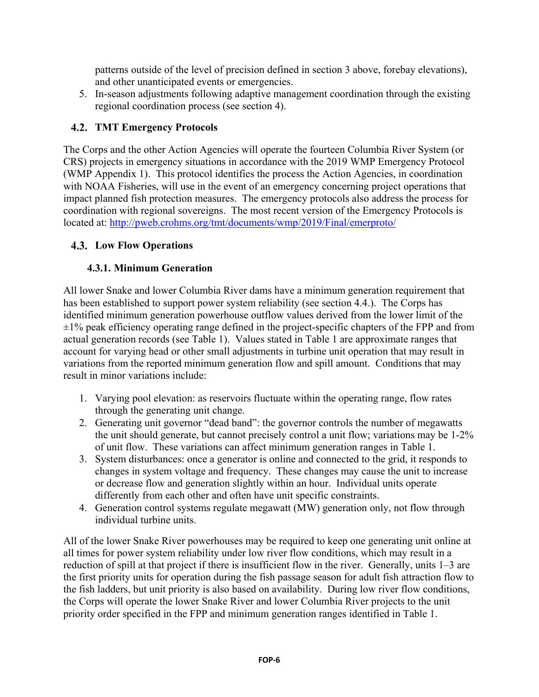patterns outside of the level of precision defined in section 3 above, forebay elevations), and other unanticipated events or emergencies.

5. In-season adjustments following adaptive management coordination through the existing regional coordination process (see section 4).

# **TMT Emergency Protocols**

The Corps and the other Action Agencies will operate the fourteen Columbia River System (or CRS) projects in emergency situations in accordance with the 2019 WMP Emergency Protocol (WMP Appendix 1). This protocol identifies the process the Action Agencies, in coordination with NOAA Fisheries, will use in the event of an emergency concerning project operations that impact planned fish protection measures. The emergency protocols also address the process for coordination with regional sovereigns. The most recent version of the Emergency Protocols is located at: [http://pweb.crohms.org/tmt/documents/wmp/2019/Final/emerproto/](http://pweb.crohms.org/tmt/documents/wmp/2018/Final/emerproto/)

## **Low Flow Operations**

## **4.3.1. Minimum Generation**

All lower Snake and lower Columbia River dams have a minimum generation requirement that has been established to support power system reliability (see section 4.4.). The Corps has identified minimum generation powerhouse outflow values derived from the lower limit of the  $\pm 1\%$  peak efficiency operating range defined in the project-specific chapters of the FPP and from actual generation records (see Table 1). Values stated in Table 1 are approximate ranges that account for varying head or other small adjustments in turbine unit operation that may result in variations from the reported minimum generation flow and spill amount. Conditions that may result in minor variations include:

- 1. Varying pool elevation: as reservoirs fluctuate within the operating range, flow rates through the generating unit change.
- 2. Generating unit governor "dead band": the governor controls the number of megawatts the unit should generate, but cannot precisely control a unit flow; variations may be 1-2% of unit flow. These variations can affect minimum generation ranges in Table 1.
- 3. System disturbances: once a generator is online and connected to the grid, it responds to changes in system voltage and frequency. These changes may cause the unit to increase or decrease flow and generation slightly within an hour. Individual units operate differently from each other and often have unit specific constraints.
- 4. Generation control systems regulate megawatt (MW) generation only, not flow through individual turbine units.

All of the lower Snake River powerhouses may be required to keep one generating unit online at all times for power system reliability under low river flow conditions, which may result in a reduction of spill at that project if there is insufficient flow in the river. Generally, units 1–3 are the first priority units for operation during the fish passage season for adult fish attraction flow to the fish ladders, but unit priority is also based on availability. During low river flow conditions, the Corps will operate the lower Snake River and lower Columbia River projects to the unit priority order specified in the FPP and minimum generation ranges identified in Table 1.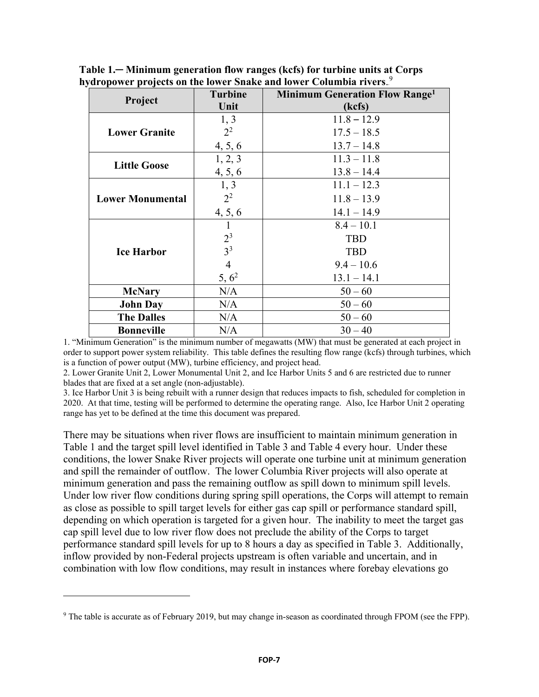| Project                 | <b>Turbine</b><br>Unit | Minimum Generation Flow Range <sup>1</sup><br>(kcfs) |
|-------------------------|------------------------|------------------------------------------------------|
| <b>Lower Granite</b>    | 1, 3                   | $11.8 - 12.9$                                        |
|                         | $2^2$                  | $17.5 - 18.5$                                        |
|                         | 4, 5, 6                | $13.7 - 14.8$                                        |
| <b>Little Goose</b>     | 1, 2, 3                | $11.3 - 11.8$                                        |
|                         | 4, 5, 6                | $13.8 - 14.4$                                        |
| <b>Lower Monumental</b> | 1, 3                   | $11.1 - 12.3$                                        |
|                         | $2^2$                  | $11.8 - 13.9$                                        |
|                         | 4, 5, 6                | $14.1 - 14.9$                                        |
| <b>Ice Harbor</b>       | $\mathbf{I}$           | $8.4 - 10.1$                                         |
|                         | $2^3$                  | <b>TBD</b>                                           |
|                         | 3 <sup>3</sup>         | <b>TBD</b>                                           |
|                         | $\overline{4}$         | $9.4 - 10.6$                                         |
|                         | $5, 6^2$               | $13.1 - 14.1$                                        |
| <b>McNary</b>           | N/A<br>$50 - 60$       |                                                      |
| <b>John Day</b>         | $50 - 60$<br>N/A       |                                                      |
| <b>The Dalles</b>       | N/A<br>$50 - 60$       |                                                      |
| <b>Bonneville</b>       | N/A                    | $30 - 40$                                            |

**Table 1.─ Minimum generation flow ranges (kcfs) for turbine units at Corps**  hydropower projects on the lower Snake and lower Columbia rivers.<sup>9</sup>

1. "Minimum Generation" is the minimum number of megawatts (MW) that must be generated at each project in order to support power system reliability. This table defines the resulting flow range (kcfs) through turbines, which is a function of power output (MW), turbine efficiency, and project head.

2. Lower Granite Unit 2, Lower Monumental Unit 2, and Ice Harbor Units 5 and 6 are restricted due to runner blades that are fixed at a set angle (non-adjustable).

3. Ice Harbor Unit 3 is being rebuilt with a runner design that reduces impacts to fish, scheduled for completion in 2020. At that time, testing will be performed to determine the operating range. Also, Ice Harbor Unit 2 operating range has yet to be defined at the time this document was prepared.

There may be situations when river flows are insufficient to maintain minimum generation in Table 1 and the target spill level identified in Table 3 and Table 4 every hour. Under these conditions, the lower Snake River projects will operate one turbine unit at minimum generation and spill the remainder of outflow. The lower Columbia River projects will also operate at minimum generation and pass the remaining outflow as spill down to minimum spill levels. Under low river flow conditions during spring spill operations, the Corps will attempt to remain as close as possible to spill target levels for either gas cap spill or performance standard spill, depending on which operation is targeted for a given hour. The inability to meet the target gas cap spill level due to low river flow does not preclude the ability of the Corps to target performance standard spill levels for up to 8 hours a day as specified in Table 3. Additionally, inflow provided by non-Federal projects upstream is often variable and uncertain, and in combination with low flow conditions, may result in instances where forebay elevations go

<sup>9</sup> The table is accurate as of February 2019, but may change in-season as coordinated through FPOM (see the FPP).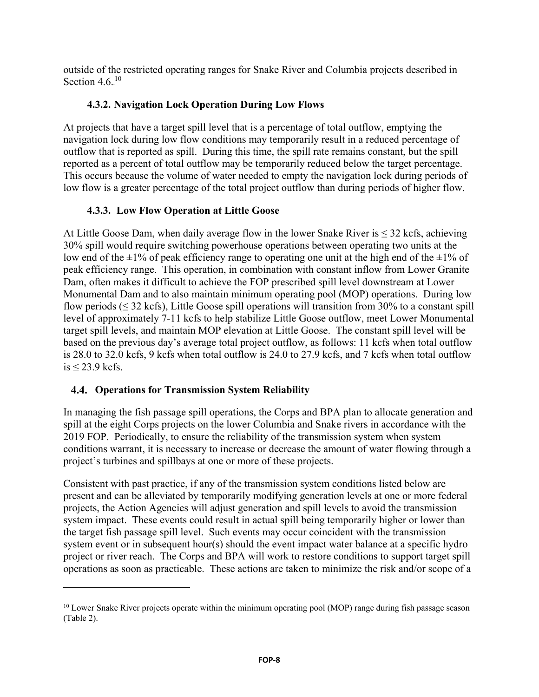outside of the restricted operating ranges for Snake River and Columbia projects described in Section 4.6.<sup>10</sup>

## **4.3.2. Navigation Lock Operation During Low Flows**

At projects that have a target spill level that is a percentage of total outflow, emptying the navigation lock during low flow conditions may temporarily result in a reduced percentage of outflow that is reported as spill. During this time, the spill rate remains constant, but the spill reported as a percent of total outflow may be temporarily reduced below the target percentage. This occurs because the volume of water needed to empty the navigation lock during periods of low flow is a greater percentage of the total project outflow than during periods of higher flow.

## **4.3.3. Low Flow Operation at Little Goose**

At Little Goose Dam, when daily average flow in the lower Snake River is  $\leq 32$  kcfs, achieving 30% spill would require switching powerhouse operations between operating two units at the low end of the  $\pm 1\%$  of peak efficiency range to operating one unit at the high end of the  $\pm 1\%$  of peak efficiency range. This operation, in combination with constant inflow from Lower Granite Dam, often makes it difficult to achieve the FOP prescribed spill level downstream at Lower Monumental Dam and to also maintain minimum operating pool (MOP) operations. During low flow periods ( $\leq$  32 kcfs), Little Goose spill operations will transition from 30% to a constant spill level of approximately 7-11 kcfs to help stabilize Little Goose outflow, meet Lower Monumental target spill levels, and maintain MOP elevation at Little Goose. The constant spill level will be based on the previous day's average total project outflow, as follows: 11 kcfs when total outflow is 28.0 to 32.0 kcfs, 9 kcfs when total outflow is 24.0 to 27.9 kcfs, and 7 kcfs when total outflow is  $\leq$  23.9 kcfs.

## **Operations for Transmission System Reliability**

 $\overline{a}$ 

In managing the fish passage spill operations, the Corps and BPA plan to allocate generation and spill at the eight Corps projects on the lower Columbia and Snake rivers in accordance with the 2019 FOP. Periodically, to ensure the reliability of the transmission system when system conditions warrant, it is necessary to increase or decrease the amount of water flowing through a project's turbines and spillbays at one or more of these projects.

Consistent with past practice, if any of the transmission system conditions listed below are present and can be alleviated by temporarily modifying generation levels at one or more federal projects, the Action Agencies will adjust generation and spill levels to avoid the transmission system impact. These events could result in actual spill being temporarily higher or lower than the target fish passage spill level. Such events may occur coincident with the transmission system event or in subsequent hour(s) should the event impact water balance at a specific hydro project or river reach. The Corps and BPA will work to restore conditions to support target spill operations as soon as practicable. These actions are taken to minimize the risk and/or scope of a

<sup>&</sup>lt;sup>10</sup> Lower Snake River projects operate within the minimum operating pool (MOP) range during fish passage season (Table 2).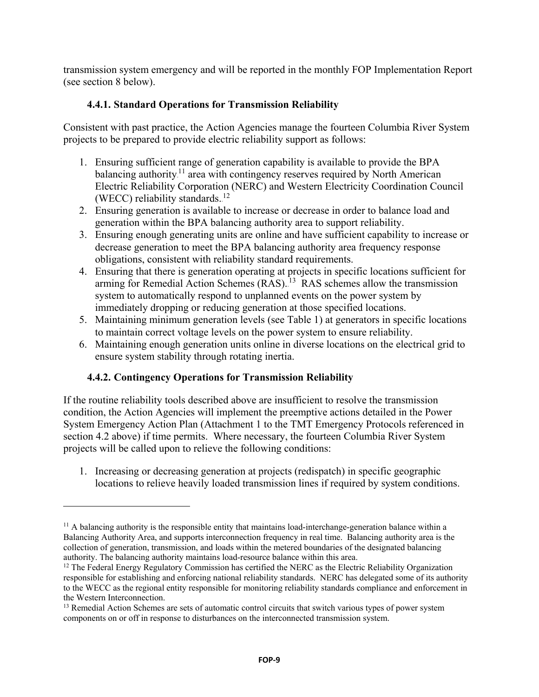transmission system emergency and will be reported in the monthly FOP Implementation Report (see section 8 below).

## **4.4.1. Standard Operations for Transmission Reliability**

Consistent with past practice, the Action Agencies manage the fourteen Columbia River System projects to be prepared to provide electric reliability support as follows:

- 1. Ensuring sufficient range of generation capability is available to provide the BPA balancing authority.<sup>11</sup> area with contingency reserves required by North American Electric Reliability Corporation (NERC) and Western Electricity Coordination Council (WECC) reliability standards.<sup>12</sup>
- 2. Ensuring generation is available to increase or decrease in order to balance load and generation within the BPA balancing authority area to support reliability.
- 3. Ensuring enough generating units are online and have sufficient capability to increase or decrease generation to meet the BPA balancing authority area frequency response obligations, consistent with reliability standard requirements.
- 4. Ensuring that there is generation operating at projects in specific locations sufficient for arming for Remedial Action Schemes (RAS).<sup>13</sup> RAS schemes allow the transmission system to automatically respond to unplanned events on the power system by immediately dropping or reducing generation at those specified locations.
- 5. Maintaining minimum generation levels (see Table 1) at generators in specific locations to maintain correct voltage levels on the power system to ensure reliability.
- 6. Maintaining enough generation units online in diverse locations on the electrical grid to ensure system stability through rotating inertia.

## **4.4.2. Contingency Operations for Transmission Reliability**

 $\overline{a}$ 

If the routine reliability tools described above are insufficient to resolve the transmission condition, the Action Agencies will implement the preemptive actions detailed in the Power System Emergency Action Plan (Attachment 1 to the TMT Emergency Protocols referenced in section 4.2 above) if time permits. Where necessary, the fourteen Columbia River System projects will be called upon to relieve the following conditions:

1. Increasing or decreasing generation at projects (redispatch) in specific geographic locations to relieve heavily loaded transmission lines if required by system conditions.

 $11$  A balancing authority is the responsible entity that maintains load-interchange-generation balance within a Balancing Authority Area, and supports interconnection frequency in real time. Balancing authority area is the collection of generation, transmission, and loads within the metered boundaries of the designated balancing authority. The balancing authority maintains load-resource balance within this area.

<sup>&</sup>lt;sup>12</sup> The Federal Energy Regulatory Commission has certified the NERC as the Electric Reliability Organization responsible for establishing and enforcing national reliability standards. NERC has delegated some of its authority to the WECC as the regional entity responsible for monitoring reliability standards compliance and enforcement in the Western Interconnection.

<sup>&</sup>lt;sup>13</sup> Remedial Action Schemes are sets of automatic control circuits that switch various types of power system components on or off in response to disturbances on the interconnected transmission system.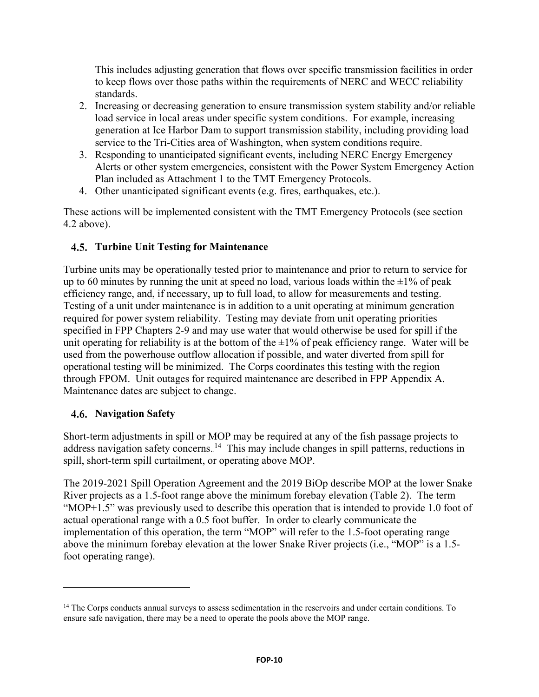This includes adjusting generation that flows over specific transmission facilities in order to keep flows over those paths within the requirements of NERC and WECC reliability standards.

- 2. Increasing or decreasing generation to ensure transmission system stability and/or reliable load service in local areas under specific system conditions. For example, increasing generation at Ice Harbor Dam to support transmission stability, including providing load service to the Tri-Cities area of Washington, when system conditions require.
- 3. Responding to unanticipated significant events, including NERC Energy Emergency Alerts or other system emergencies, consistent with the Power System Emergency Action Plan included as Attachment 1 to the TMT Emergency Protocols.
- 4. Other unanticipated significant events (e.g. fires, earthquakes, etc.).

These actions will be implemented consistent with the TMT Emergency Protocols (see section 4.2 above).

# **Turbine Unit Testing for Maintenance**

Turbine units may be operationally tested prior to maintenance and prior to return to service for up to 60 minutes by running the unit at speed no load, various loads within the  $\pm 1\%$  of peak efficiency range, and, if necessary, up to full load, to allow for measurements and testing. Testing of a unit under maintenance is in addition to a unit operating at minimum generation required for power system reliability. Testing may deviate from unit operating priorities specified in FPP Chapters 2-9 and may use water that would otherwise be used for spill if the unit operating for reliability is at the bottom of the  $\pm 1\%$  of peak efficiency range. Water will be used from the powerhouse outflow allocation if possible, and water diverted from spill for operational testing will be minimized. The Corps coordinates this testing with the region through FPOM. Unit outages for required maintenance are described in FPP Appendix A. Maintenance dates are subject to change.

## **Navigation Safety**

 $\overline{a}$ 

Short-term adjustments in spill or MOP may be required at any of the fish passage projects to address navigation safety concerns.<sup>14</sup> This may include changes in spill patterns, reductions in spill, short-term spill curtailment, or operating above MOP.

The 2019-2021 Spill Operation Agreement and the 2019 BiOp describe MOP at the lower Snake River projects as a 1.5-foot range above the minimum forebay elevation (Table 2). The term "MOP+1.5" was previously used to describe this operation that is intended to provide 1.0 foot of actual operational range with a 0.5 foot buffer. In order to clearly communicate the implementation of this operation, the term "MOP" will refer to the 1.5-foot operating range above the minimum forebay elevation at the lower Snake River projects (i.e., "MOP" is a 1.5 foot operating range).

<sup>&</sup>lt;sup>14</sup> The Corps conducts annual surveys to assess sedimentation in the reservoirs and under certain conditions. To ensure safe navigation, there may be a need to operate the pools above the MOP range.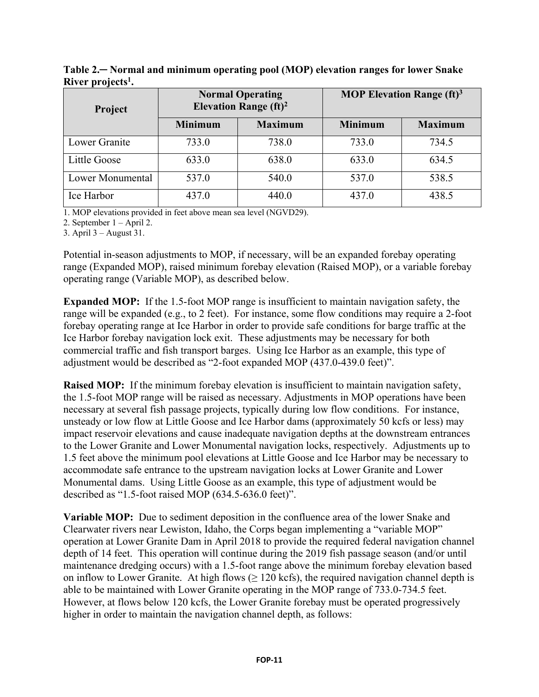| Project          | <b>Normal Operating</b><br>Elevation Range $(ft)^2$ |                | <b>MOP Elevation Range (ft)</b> <sup>3</sup> |                |
|------------------|-----------------------------------------------------|----------------|----------------------------------------------|----------------|
|                  | <b>Minimum</b>                                      | <b>Maximum</b> | <b>Minimum</b>                               | <b>Maximum</b> |
| Lower Granite    | 733.0                                               | 738.0          | 733.0                                        | 734.5          |
| Little Goose     | 633.0                                               | 638.0          | 633.0                                        | 634.5          |
| Lower Monumental | 537.0                                               | 540.0          | 537.0                                        | 538.5          |
| Ice Harbor       | 437.0                                               | 440.0          | 437.0                                        | 438.5          |

**Table 2.─ Normal and minimum operating pool (MOP) elevation ranges for lower Snake River projects1 .**

1. MOP elevations provided in feet above mean sea level (NGVD29).

2. September 1 – April 2.

3. April 3 – August 31.

Potential in-season adjustments to MOP, if necessary, will be an expanded forebay operating range (Expanded MOP), raised minimum forebay elevation (Raised MOP), or a variable forebay operating range (Variable MOP), as described below.

**Expanded MOP:** If the 1.5-foot MOP range is insufficient to maintain navigation safety, the range will be expanded (e.g., to 2 feet). For instance, some flow conditions may require a 2-foot forebay operating range at Ice Harbor in order to provide safe conditions for barge traffic at the Ice Harbor forebay navigation lock exit. These adjustments may be necessary for both commercial traffic and fish transport barges. Using Ice Harbor as an example, this type of adjustment would be described as "2-foot expanded MOP (437.0-439.0 feet)".

**Raised MOP:** If the minimum forebay elevation is insufficient to maintain navigation safety, the 1.5-foot MOP range will be raised as necessary. Adjustments in MOP operations have been necessary at several fish passage projects, typically during low flow conditions. For instance, unsteady or low flow at Little Goose and Ice Harbor dams (approximately 50 kcfs or less) may impact reservoir elevations and cause inadequate navigation depths at the downstream entrances to the Lower Granite and Lower Monumental navigation locks, respectively. Adjustments up to 1.5 feet above the minimum pool elevations at Little Goose and Ice Harbor may be necessary to accommodate safe entrance to the upstream navigation locks at Lower Granite and Lower Monumental dams. Using Little Goose as an example, this type of adjustment would be described as "1.5-foot raised MOP (634.5-636.0 feet)".

**Variable MOP:** Due to sediment deposition in the confluence area of the lower Snake and Clearwater rivers near Lewiston, Idaho, the Corps began implementing a "variable MOP" operation at Lower Granite Dam in April 2018 to provide the required federal navigation channel depth of 14 feet. This operation will continue during the 2019 fish passage season (and/or until maintenance dredging occurs) with a 1.5-foot range above the minimum forebay elevation based on inflow to Lower Granite. At high flows  $(≥ 120 \text{ kcfs})$ , the required navigation channel depth is able to be maintained with Lower Granite operating in the MOP range of 733.0-734.5 feet. However, at flows below 120 kcfs, the Lower Granite forebay must be operated progressively higher in order to maintain the navigation channel depth, as follows: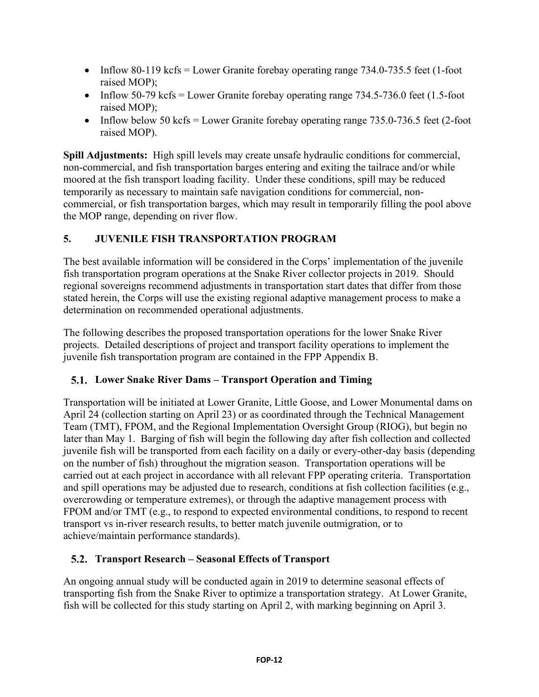- Inflow 80-119 kcfs = Lower Granite forebay operating range  $734.0$ - $735.5$  feet (1-foot raised MOP);
- Inflow 50-79 kcfs = Lower Granite forebay operating range  $734.5$ -736.0 feet (1.5-foot raised MOP);
- Inflow below 50 kcfs = Lower Granite forebay operating range  $735.0-736.5$  feet (2-foot raised MOP).

**Spill Adjustments:** High spill levels may create unsafe hydraulic conditions for commercial, non-commercial, and fish transportation barges entering and exiting the tailrace and/or while moored at the fish transport loading facility. Under these conditions, spill may be reduced temporarily as necessary to maintain safe navigation conditions for commercial, noncommercial, or fish transportation barges, which may result in temporarily filling the pool above the MOP range, depending on river flow.

# **5. JUVENILE FISH TRANSPORTATION PROGRAM**

The best available information will be considered in the Corps' implementation of the juvenile fish transportation program operations at the Snake River collector projects in 2019. Should regional sovereigns recommend adjustments in transportation start dates that differ from those stated herein, the Corps will use the existing regional adaptive management process to make a determination on recommended operational adjustments.

The following describes the proposed transportation operations for the lower Snake River projects. Detailed descriptions of project and transport facility operations to implement the juvenile fish transportation program are contained in the FPP Appendix B.

# **Lower Snake River Dams – Transport Operation and Timing**

Transportation will be initiated at Lower Granite, Little Goose, and Lower Monumental dams on April 24 (collection starting on April 23) or as coordinated through the Technical Management Team (TMT), FPOM, and the Regional Implementation Oversight Group (RIOG), but begin no later than May 1. Barging of fish will begin the following day after fish collection and collected juvenile fish will be transported from each facility on a daily or every-other-day basis (depending on the number of fish) throughout the migration season. Transportation operations will be carried out at each project in accordance with all relevant FPP operating criteria. Transportation and spill operations may be adjusted due to research, conditions at fish collection facilities (e.g., overcrowding or temperature extremes), or through the adaptive management process with FPOM and/or TMT (e.g., to respond to expected environmental conditions, to respond to recent transport vs in-river research results, to better match juvenile outmigration, or to achieve/maintain performance standards).

# **Transport Research – Seasonal Effects of Transport**

An ongoing annual study will be conducted again in 2019 to determine seasonal effects of transporting fish from the Snake River to optimize a transportation strategy. At Lower Granite, fish will be collected for this study starting on April 2, with marking beginning on April 3.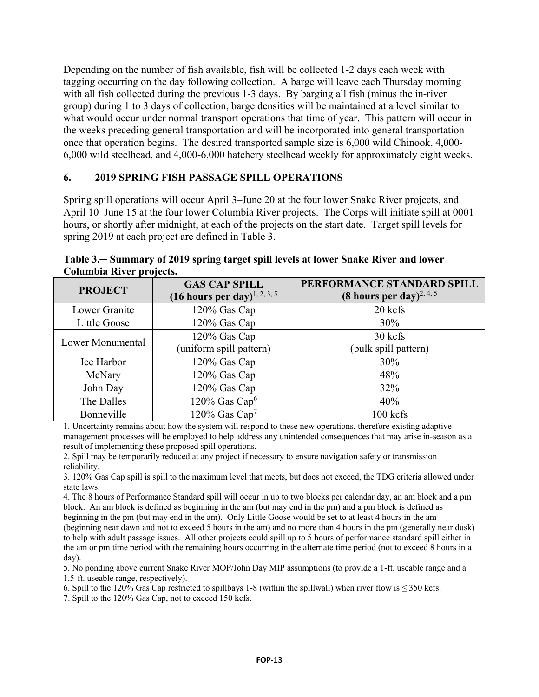Depending on the number of fish available, fish will be collected 1-2 days each week with tagging occurring on the day following collection. A barge will leave each Thursday morning with all fish collected during the previous 1-3 days. By barging all fish (minus the in-river group) during 1 to 3 days of collection, barge densities will be maintained at a level similar to what would occur under normal transport operations that time of year. This pattern will occur in the weeks preceding general transportation and will be incorporated into general transportation once that operation begins. The desired transported sample size is 6,000 wild Chinook, 4,000- 6,000 wild steelhead, and 4,000-6,000 hatchery steelhead weekly for approximately eight weeks.

#### **6. 2019 SPRING FISH PASSAGE SPILL OPERATIONS**

Spring spill operations will occur April 3–June 20 at the four lower Snake River projects, and April 10–June 15 at the four lower Columbia River projects. The Corps will initiate spill at 0001 hours, or shortly after midnight, at each of the projects on the start date. Target spill levels for spring 2019 at each project are defined in Table 3.

| <b>PROJECT</b>   | <b>GAS CAP SPILL</b><br>$(16 \text{ hours per day})^{1, 2, 3, 5}$ | PERFORMANCE STANDARD SPILL<br>(8 hours per day) <sup>2, 4, 5</sup> |
|------------------|-------------------------------------------------------------------|--------------------------------------------------------------------|
| Lower Granite    | 120% Gas Cap                                                      | 20 kcfs                                                            |
| Little Goose     | 120% Gas Cap                                                      | 30%                                                                |
| Lower Monumental | 120% Gas Cap<br>(uniform spill pattern)                           | 30 kcfs<br>(bulk spill pattern)                                    |
| Ice Harbor       | 120% Gas Cap                                                      | 30%                                                                |
| McNary           | 120% Gas Cap                                                      | 48%                                                                |
| John Day         | 120% Gas Cap                                                      | 32%                                                                |
| The Dalles       | $120\%$ Gas Cap <sup>6</sup>                                      | 40%                                                                |
| Bonneville       | 120% Gas Cap <sup>7</sup>                                         | $100$ kcfs                                                         |

**Table 3.─ Summary of 2019 spring target spill levels at lower Snake River and lower Columbia River projects.**

1. Uncertainty remains about how the system will respond to these new operations, therefore existing adaptive management processes will be employed to help address any unintended consequences that may arise in-season as a result of implementing these proposed spill operations.

2. Spill may be temporarily reduced at any project if necessary to ensure navigation safety or transmission reliability.

3. 120% Gas Cap spill is spill to the maximum level that meets, but does not exceed, the TDG criteria allowed under state laws.

4. The 8 hours of Performance Standard spill will occur in up to two blocks per calendar day, an am block and a pm block. An am block is defined as beginning in the am (but may end in the pm) and a pm block is defined as beginning in the pm (but may end in the am). Only Little Goose would be set to at least 4 hours in the am (beginning near dawn and not to exceed 5 hours in the am) and no more than 4 hours in the pm (generally near dusk) to help with adult passage issues. All other projects could spill up to 5 hours of performance standard spill either in the am or pm time period with the remaining hours occurring in the alternate time period (not to exceed 8 hours in a day).

5. No ponding above current Snake River MOP/John Day MIP assumptions (to provide a 1-ft. useable range and a 1.5-ft. useable range, respectively).

6. Spill to the 120% Gas Cap restricted to spillbays 1-8 (within the spillwall) when river flow is  $\leq$  350 kcfs.

7. Spill to the 120% Gas Cap, not to exceed 150 kcfs.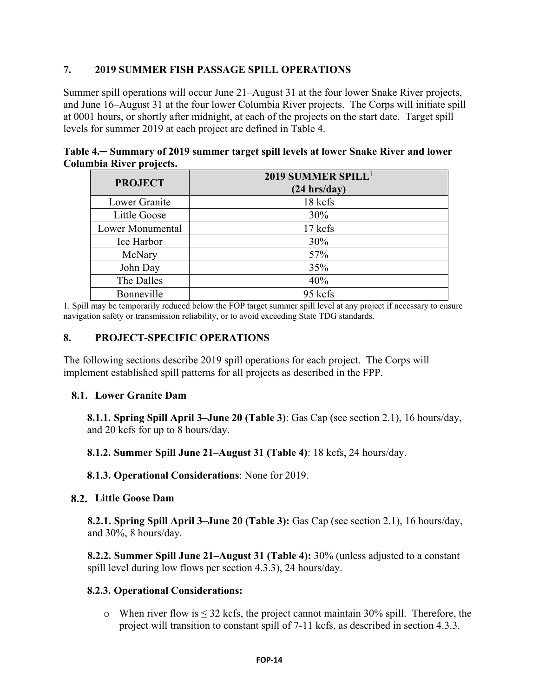## **7. 2019 SUMMER FISH PASSAGE SPILL OPERATIONS**

Summer spill operations will occur June 21–August 31 at the four lower Snake River projects, and June 16–August 31 at the four lower Columbia River projects. The Corps will initiate spill at 0001 hours, or shortly after midnight, at each of the projects on the start date. Target spill levels for summer 2019 at each project are defined in Table 4.

| Table 4. Summary of 2019 summer target spill levels at lower Snake River and lower |  |
|------------------------------------------------------------------------------------|--|
| Columbia River projects.                                                           |  |

| <b>PROJECT</b>          | 2019 SUMMER SPILL <sup>1</sup><br>$(24 \text{ hrs/day})$ |
|-------------------------|----------------------------------------------------------|
| Lower Granite           | 18 kcfs                                                  |
| Little Goose            | 30%                                                      |
| <b>Lower Monumental</b> | 17 kcfs                                                  |
| Ice Harbor              | 30%                                                      |
| McNary                  | 57%                                                      |
| John Day                | 35%                                                      |
| The Dalles              | 40%                                                      |
| Bonneville              | 95 kcfs                                                  |

1. Spill may be temporarily reduced below the FOP target summer spill level at any project if necessary to ensure navigation safety or transmission reliability, or to avoid exceeding State TDG standards.

#### **8. PROJECT-SPECIFIC OPERATIONS**

The following sections describe 2019 spill operations for each project. The Corps will implement established spill patterns for all projects as described in the FPP.

## **Lower Granite Dam**

**8.1.1. Spring Spill April 3–June 20 (Table 3)**: Gas Cap (see section 2.1), 16 hours/day, and 20 kcfs for up to 8 hours/day.

**8.1.2. Summer Spill June 21–August 31 (Table 4)**: 18 kcfs, 24 hours/day.

**8.1.3. Operational Considerations**: None for 2019.

## **Little Goose Dam**

**8.2.1. Spring Spill April 3–June 20 (Table 3):** Gas Cap (see section 2.1), 16 hours/day, and 30%, 8 hours/day.

**8.2.2. Summer Spill June 21–August 31 (Table 4):** 30% (unless adjusted to a constant spill level during low flows per section 4.3.3), 24 hours/day.

## **8.2.3. Operational Considerations:**

 $\circ$  When river flow is  $\leq$  32 kcfs, the project cannot maintain 30% spill. Therefore, the project will transition to constant spill of 7-11 kcfs, as described in section 4.3.3.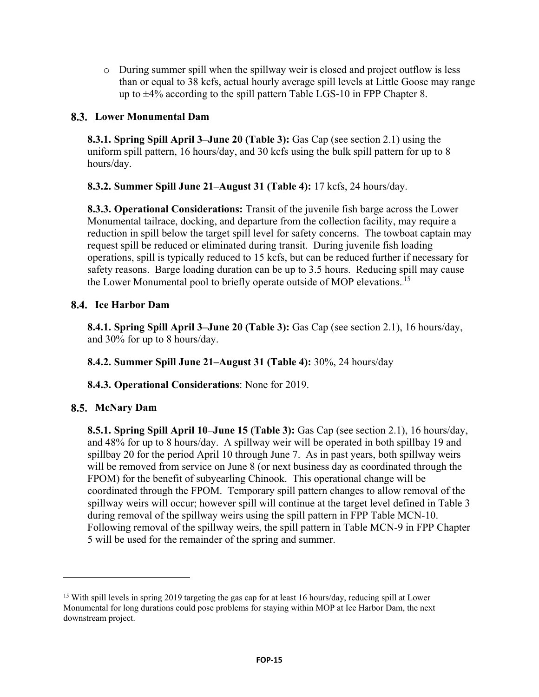o During summer spill when the spillway weir is closed and project outflow is less than or equal to 38 kcfs, actual hourly average spill levels at Little Goose may range up to ±4% according to the spill pattern Table LGS-10 in FPP Chapter 8.

## **Lower Monumental Dam**

**8.3.1. Spring Spill April 3–June 20 (Table 3):** Gas Cap (see section 2.1) using the uniform spill pattern, 16 hours/day, and 30 kcfs using the bulk spill pattern for up to 8 hours/day.

**8.3.2. Summer Spill June 21–August 31 (Table 4):** 17 kcfs, 24 hours/day.

**8.3.3. Operational Considerations:** Transit of the juvenile fish barge across the Lower Monumental tailrace, docking, and departure from the collection facility, may require a reduction in spill below the target spill level for safety concerns. The towboat captain may request spill be reduced or eliminated during transit. During juvenile fish loading operations, spill is typically reduced to 15 kcfs, but can be reduced further if necessary for safety reasons. Barge loading duration can be up to 3.5 hours. Reducing spill may cause the Lower Monumental pool to briefly operate outside of MOP elevations.<sup>15</sup>

## **8.4.** Ice Harbor Dam

**8.4.1. Spring Spill April 3–June 20 (Table 3):** Gas Cap (see section 2.1), 16 hours/day, and 30% for up to 8 hours/day.

**8.4.2. Summer Spill June 21–August 31 (Table 4):** 30%, 24 hours/day

**8.4.3. Operational Considerations**: None for 2019.

# **McNary Dam**

 $\overline{a}$ 

**8.5.1. Spring Spill April 10–June 15 (Table 3):** Gas Cap (see section 2.1), 16 hours/day, and 48% for up to 8 hours/day. A spillway weir will be operated in both spillbay 19 and spillbay 20 for the period April 10 through June 7. As in past years, both spillway weirs will be removed from service on June 8 (or next business day as coordinated through the FPOM) for the benefit of subyearling Chinook. This operational change will be coordinated through the FPOM. Temporary spill pattern changes to allow removal of the spillway weirs will occur; however spill will continue at the target level defined in Table 3 during removal of the spillway weirs using the spill pattern in FPP Table MCN-10. Following removal of the spillway weirs, the spill pattern in Table MCN-9 in FPP Chapter 5 will be used for the remainder of the spring and summer.

<sup>&</sup>lt;sup>15</sup> With spill levels in spring 2019 targeting the gas cap for at least 16 hours/day, reducing spill at Lower Monumental for long durations could pose problems for staying within MOP at Ice Harbor Dam, the next downstream project.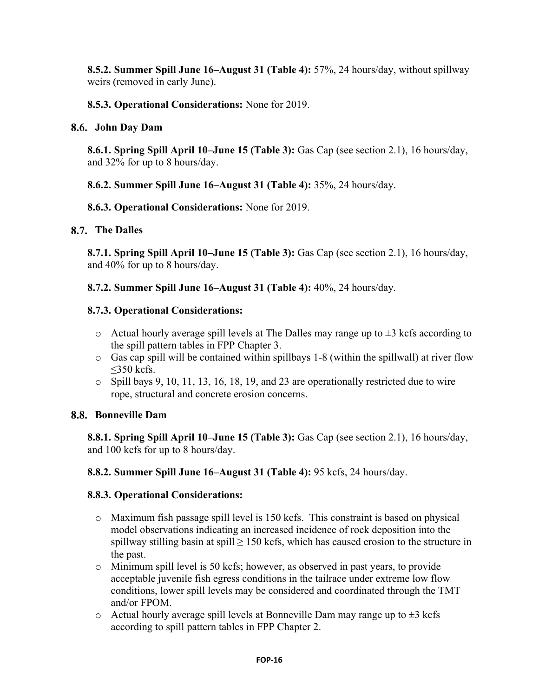**8.5.2. Summer Spill June 16–August 31 (Table 4):** 57%, 24 hours/day, without spillway weirs (removed in early June).

## **8.5.3. Operational Considerations:** None for 2019.

#### **John Day Dam**

**8.6.1. Spring Spill April 10–June 15 (Table 3):** Gas Cap (see section 2.1), 16 hours/day, and 32% for up to 8 hours/day.

**8.6.2. Summer Spill June 16–August 31 (Table 4):** 35%, 24 hours/day.

#### **8.6.3. Operational Considerations:** None for 2019.

#### **8.7.** The Dalles

**8.7.1. Spring Spill April 10–June 15 (Table 3):** Gas Cap (see section 2.1), 16 hours/day, and 40% for up to 8 hours/day.

**8.7.2. Summer Spill June 16–August 31 (Table 4):** 40%, 24 hours/day.

#### **8.7.3. Operational Considerations:**

- $\circ$  Actual hourly average spill levels at The Dalles may range up to  $\pm 3$  kcfs according to the spill pattern tables in FPP Chapter 3.
- o Gas cap spill will be contained within spillbays 1-8 (within the spillwall) at river flow  $\leq$ 350 kcfs.
- o Spill bays 9, 10, 11, 13, 16, 18, 19, and 23 are operationally restricted due to wire rope, structural and concrete erosion concerns.

#### **Bonneville Dam**

**8.8.1. Spring Spill April 10–June 15 (Table 3):** Gas Cap (see section 2.1), 16 hours/day, and 100 kcfs for up to 8 hours/day.

**8.8.2. Summer Spill June 16–August 31 (Table 4):** 95 kcfs, 24 hours/day.

## **8.8.3. Operational Considerations:**

- o Maximum fish passage spill level is 150 kcfs. This constraint is based on physical model observations indicating an increased incidence of rock deposition into the spillway stilling basin at spill  $\geq$  150 kcfs, which has caused erosion to the structure in the past.
- o Minimum spill level is 50 kcfs; however, as observed in past years, to provide acceptable juvenile fish egress conditions in the tailrace under extreme low flow conditions, lower spill levels may be considered and coordinated through the TMT and/or FPOM.
- $\circ$  Actual hourly average spill levels at Bonneville Dam may range up to  $\pm 3$  kcfs according to spill pattern tables in FPP Chapter 2.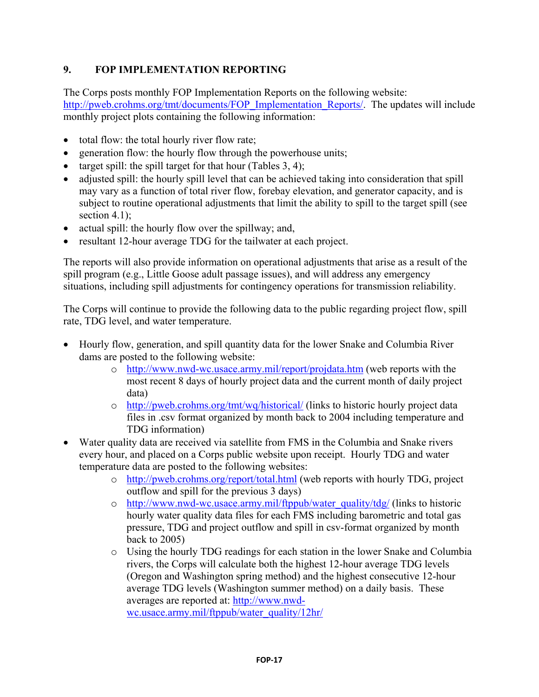# **9. FOP IMPLEMENTATION REPORTING**

The Corps posts monthly FOP Implementation Reports on the following website: [http://pweb.crohms.org/tmt/documents/FOP\\_Implementation\\_Reports/.](http://pweb.crohms.org/tmt/documents/FOP_Implementation_Reports/) The updates will include monthly project plots containing the following information:

- total flow: the total hourly river flow rate;
- generation flow: the hourly flow through the powerhouse units;
- target spill: the spill target for that hour (Tables  $3, 4$ );
- adjusted spill: the hourly spill level that can be achieved taking into consideration that spill may vary as a function of total river flow, forebay elevation, and generator capacity, and is subject to routine operational adjustments that limit the ability to spill to the target spill (see section 4.1);
- actual spill: the hourly flow over the spillway; and,
- resultant 12-hour average TDG for the tailwater at each project.

The reports will also provide information on operational adjustments that arise as a result of the spill program (e.g., Little Goose adult passage issues), and will address any emergency situations, including spill adjustments for contingency operations for transmission reliability.

The Corps will continue to provide the following data to the public regarding project flow, spill rate, TDG level, and water temperature.

- Hourly flow, generation, and spill quantity data for the lower Snake and Columbia River dams are posted to the following website:
	- o <http://www.nwd-wc.usace.army.mil/report/projdata.htm> (web reports with the most recent 8 days of hourly project data and the current month of daily project data)
	- o <http://pweb.crohms.org/tmt/wq/historical/> (links to historic hourly project data files in .csv format organized by month back to 2004 including temperature and TDG information)
- Water quality data are received via satellite from FMS in the Columbia and Snake rivers every hour, and placed on a Corps public website upon receipt. Hourly TDG and water temperature data are posted to the following websites:
	- o <http://pweb.crohms.org/report/total.html> (web reports with hourly TDG, project outflow and spill for the previous 3 days)
	- o [http://www.nwd-wc.usace.army.mil/ftppub/water\\_quality/tdg/](http://www.nwd-wc.usace.army.mil/ftppub/water_quality/tdg/) (links to historic hourly water quality data files for each FMS including barometric and total gas pressure, TDG and project outflow and spill in csv-format organized by month back to 2005)
	- o Using the hourly TDG readings for each station in the lower Snake and Columbia rivers, the Corps will calculate both the highest 12-hour average TDG levels (Oregon and Washington spring method) and the highest consecutive 12-hour average TDG levels (Washington summer method) on a daily basis. These averages are reported at: [http://www.nwd](http://www.nwd-wc.usace.army.mil/ftppub/water_quality/12hr/)[wc.usace.army.mil/ftppub/water\\_quality/12hr/](http://www.nwd-wc.usace.army.mil/ftppub/water_quality/12hr/)